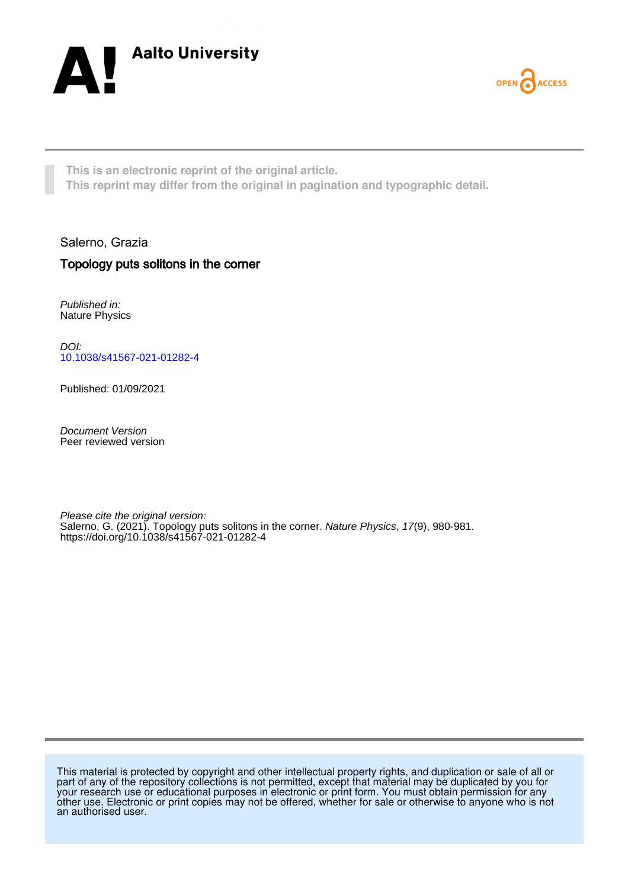



**This is an electronic reprint of the original article. This reprint may differ from the original in pagination and typographic detail.**

Salerno, Grazia

## Topology puts solitons in the corner

Published in: Nature Physics

DOI: [10.1038/s41567-021-01282-4](https://doi.org/10.1038/s41567-021-01282-4)

Published: 01/09/2021

Document Version Peer reviewed version

Please cite the original version: Salerno, G. (2021). Topology puts solitons in the corner. Nature Physics, 17(9), 980-981. <https://doi.org/10.1038/s41567-021-01282-4>

This material is protected by copyright and other intellectual property rights, and duplication or sale of all or part of any of the repository collections is not permitted, except that material may be duplicated by you for your research use or educational purposes in electronic or print form. You must obtain permission for any other use. Electronic or print copies may not be offered, whether for sale or otherwise to anyone who is not an authorised user.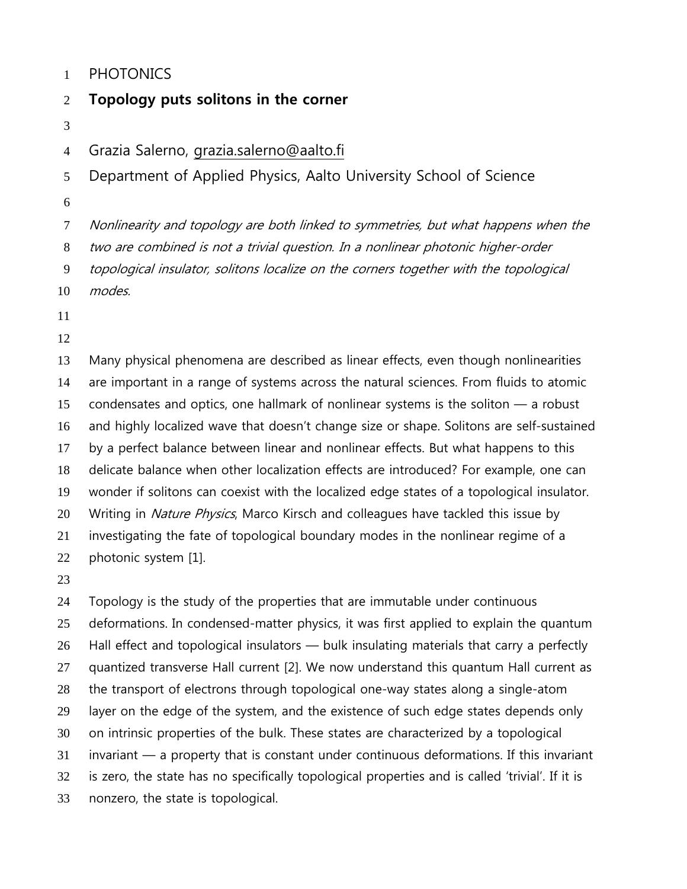## PHOTONICS

## **Topology puts solitons in the corner**

Grazia Salerno, grazia.salerno@aalto.fi

Department of Applied Physics, Aalto University School of Science

Nonlinearity and topology are both linked to symmetries, but what happens when the

two are combined is not a trivial question. In a nonlinear photonic higher-order

topological insulator, solitons localize on the corners together with the topological

modes.

Many physical phenomena are described as linear effects, even though nonlinearities are important in a range of systems across the natural sciences. From fluids to atomic condensates and optics, one hallmark of nonlinear systems is the soliton — a robust and highly localized wave that doesn't change size or shape. Solitons are self-sustained by a perfect balance between linear and nonlinear effects. But what happens to this delicate balance when other localization effects are introduced? For example, one can wonder if solitons can coexist with the localized edge states of a topological insulator. 20 Writing in Nature Physics, Marco Kirsch and colleagues have tackled this issue by investigating the fate of topological boundary modes in the nonlinear regime of a photonic system [1].

Topology is the study of the properties that are immutable under continuous deformations. In condensed-matter physics, it was first applied to explain the quantum 26 Hall effect and topological insulators — bulk insulating materials that carry a perfectly quantized transverse Hall current [2]. We now understand this quantum Hall current as the transport of electrons through topological one-way states along a single-atom layer on the edge of the system, and the existence of such edge states depends only on intrinsic properties of the bulk. These states are characterized by a topological invariant — a property that is constant under continuous deformations. If this invariant is zero, the state has no specifically topological properties and is called 'trivial'. If it is nonzero, the state is topological.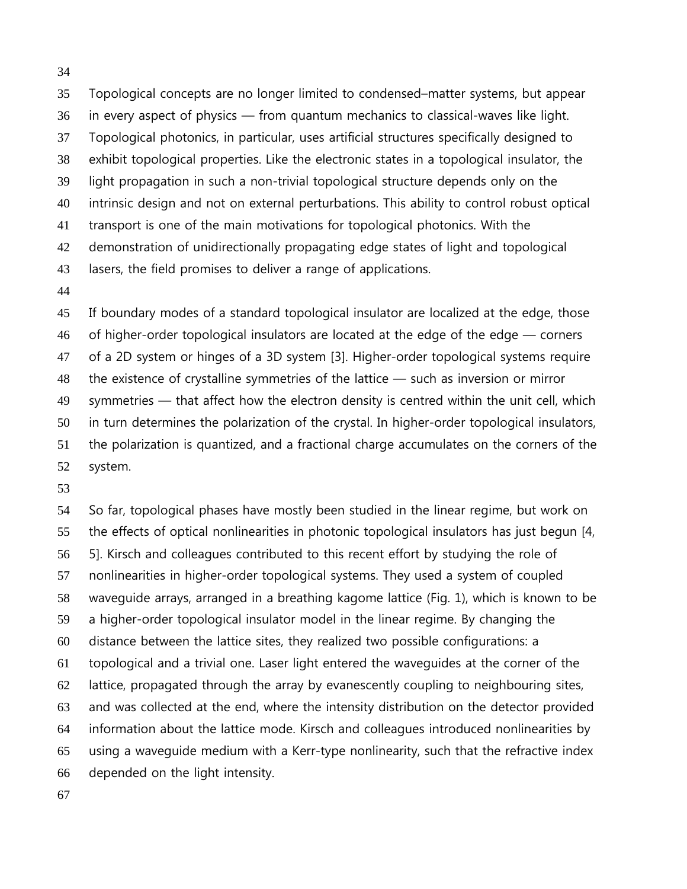Topological concepts are no longer limited to condensed–matter systems, but appear in every aspect of physics — from quantum mechanics to classical-waves like light. Topological photonics, in particular, uses artificial structures specifically designed to exhibit topological properties. Like the electronic states in a topological insulator, the light propagation in such a non-trivial topological structure depends only on the intrinsic design and not on external perturbations. This ability to control robust optical transport is one of the main motivations for topological photonics. With the demonstration of unidirectionally propagating edge states of light and topological lasers, the field promises to deliver a range of applications.

If boundary modes of a standard topological insulator are localized at the edge, those 46 of higher-order topological insulators are located at the edge of the edge – corners of a 2D system or hinges of a 3D system [3]. Higher-order topological systems require the existence of crystalline symmetries of the lattice — such as inversion or mirror symmetries — that affect how the electron density is centred within the unit cell, which in turn determines the polarization of the crystal. In higher-order topological insulators, the polarization is quantized, and a fractional charge accumulates on the corners of the system.

So far, topological phases have mostly been studied in the linear regime, but work on the effects of optical nonlinearities in photonic topological insulators has just begun [4, 5]. Kirsch and colleagues contributed to this recent effort by studying the role of nonlinearities in higher-order topological systems. They used a system of coupled waveguide arrays, arranged in a breathing kagome lattice (Fig. 1), which is known to be a higher-order topological insulator model in the linear regime. By changing the distance between the lattice sites, they realized two possible configurations: a topological and a trivial one. Laser light entered the waveguides at the corner of the lattice, propagated through the array by evanescently coupling to neighbouring sites, and was collected at the end, where the intensity distribution on the detector provided information about the lattice mode. Kirsch and colleagues introduced nonlinearities by using a waveguide medium with a Kerr-type nonlinearity, such that the refractive index depended on the light intensity.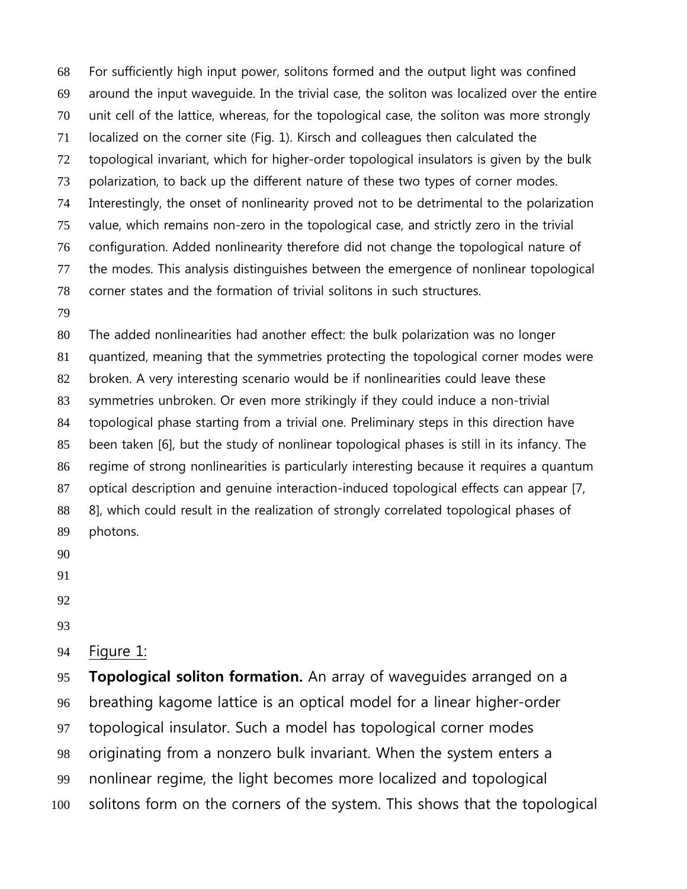For sufficiently high input power, solitons formed and the output light was confined around the input waveguide. In the trivial case, the soliton was localized over the entire unit cell of the lattice, whereas, for the topological case, the soliton was more strongly localized on the corner site (Fig. 1). Kirsch and colleagues then calculated the topological invariant, which for higher-order topological insulators is given by the bulk polarization, to back up the different nature of these two types of corner modes. Interestingly, the onset of nonlinearity proved not to be detrimental to the polarization value, which remains non-zero in the topological case, and strictly zero in the trivial configuration. Added nonlinearity therefore did not change the topological nature of the modes. This analysis distinguishes between the emergence of nonlinear topological corner states and the formation of trivial solitons in such structures.

The added nonlinearities had another effect: the bulk polarization was no longer quantized, meaning that the symmetries protecting the topological corner modes were broken. A very interesting scenario would be if nonlinearities could leave these symmetries unbroken. Or even more strikingly if they could induce a non-trivial topological phase starting from a trivial one. Preliminary steps in this direction have been taken [6], but the study of nonlinear topological phases is still in its infancy. The regime of strong nonlinearities is particularly interesting because it requires a quantum optical description and genuine interaction-induced topological effects can appear [7, 8], which could result in the realization of strongly correlated topological phases of photons.

- 
- 

Figure 1:

**Topological soliton formation.** An array of waveguides arranged on a breathing kagome lattice is an optical model for a linear higher-order topological insulator. Such a model has topological corner modes originating from a nonzero bulk invariant. When the system enters a nonlinear regime, the light becomes more localized and topological solitons form on the corners of the system. This shows that the topological